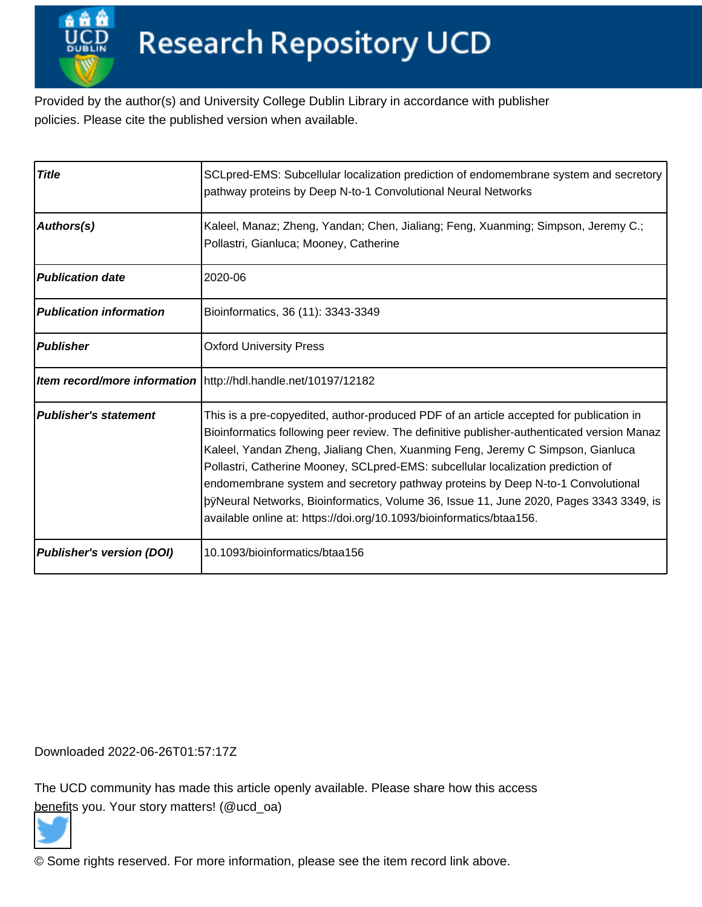Provided by the author(s) and University College Dublin Library in accordance with publisher policies. Please cite the published version when available.

| <b>Title</b>                   | SCLpred-EMS: Subcellular localization prediction of endomembrane system and secretory<br>pathway proteins by Deep N-to-1 Convolutional Neural Networks                                                                                                                                                                                                                                                                                                                                                                                                                              |      |
|--------------------------------|-------------------------------------------------------------------------------------------------------------------------------------------------------------------------------------------------------------------------------------------------------------------------------------------------------------------------------------------------------------------------------------------------------------------------------------------------------------------------------------------------------------------------------------------------------------------------------------|------|
| <b>Authors(s)</b>              | Kaleel, Manaz; Zheng, Yandan; Chen, Jialiang; Feng, Xuanming; Simpson, Jeremy C.;<br>Pollastri, Gianluca; Mooney, Catherine                                                                                                                                                                                                                                                                                                                                                                                                                                                         |      |
| <b>Publication date</b>        | 2020-06                                                                                                                                                                                                                                                                                                                                                                                                                                                                                                                                                                             |      |
| <b>Publication information</b> | Bioinformatics, 36 (11): 3343-3349                                                                                                                                                                                                                                                                                                                                                                                                                                                                                                                                                  |      |
| Publisher                      | <b>Oxford University Press</b>                                                                                                                                                                                                                                                                                                                                                                                                                                                                                                                                                      |      |
|                                | Item record/more information   http://hdl.handle.net/10197/12182                                                                                                                                                                                                                                                                                                                                                                                                                                                                                                                    |      |
| Publisher's statement          | This is a pre-copyedited, author-produced PDF of an article accepted for publication in<br>Bioinformatics following peer review. The definitive publisher-authenticated version Manaz<br>Kaleel, Yandan Zheng, Jialiang Chen, Xuanming Feng, Jeremy C Simpson, Gianluca<br>Pollastri, Catherine Mooney, SCLpred-EMS: subcellular localization prediction of<br>endomembrane system and secretory pathway proteins by Deep N-to-1 Convolutional<br> þÿNeural Networks, Bioinformatics, Volume 36, Issue 11, <br>available online at: https://doi.org/10.1093/bioinformatics/btaa156. | June |
| Publisher's version (DOI)      | 10.1093/bioinformatics/btaa156                                                                                                                                                                                                                                                                                                                                                                                                                                                                                                                                                      |      |

Downloaded 2022-06-26T01:57:17Z

The UCD community has made this article openly available. Please share how this access [benefit](https://twitter.com/intent/tweet?via=ucd_oa&text=DOI%3A10.1093%2Fbioinformatics%2Fbtaa156&url=http%3A%2F%2Fhdl.handle.net%2F10197%2F12182)s you. Your story matters! (@ucd\_oa)



© Some rights reserved. For more information, please see the item record link above.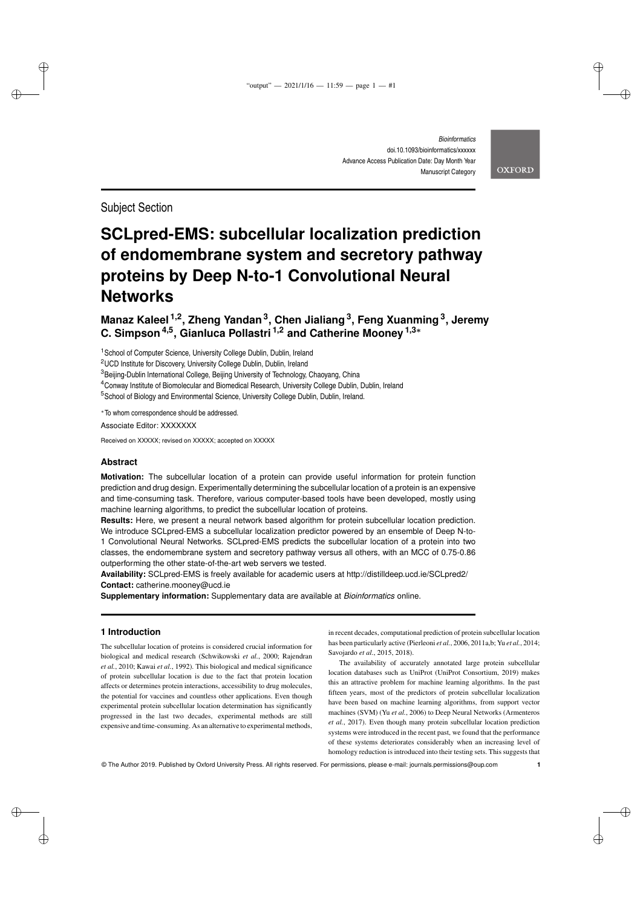*Bioinformatics* doi.10.1093/bioinformatics/xxxxxx Advance Access Publication Date: Day Month Year Manuscript Category

Subject Section

✐

✐

✐

✐

# **SCLpred-EMS: subcellular localization prediction of endomembrane system and secretory pathway proteins by Deep N-to-1 Convolutional Neural Networks**

**Manaz Kaleel 1,2, Zheng Yandan<sup>3</sup> , Chen Jialiang<sup>3</sup> , Feng Xuanming<sup>3</sup> , Jeremy C. Simpson4,5, Gianluca Pollastri 1,2 and Catherine Mooney 1,3**<sup>∗</sup>

<sup>1</sup> School of Computer Science, University College Dublin, Dublin, Ireland

<sup>2</sup>UCD Institute for Discovery, University College Dublin, Dublin, Ireland

<sup>3</sup> Beijing-Dublin International College, Beijing University of Technology, Chaoyang, China

 ${}^{4}$ Conway Institute of Biomolecular and Biomedical Research, University College Dublin, Dublin, Ireland

<sup>5</sup> School of Biology and Environmental Science, University College Dublin, Dublin, Ireland.

<sup>∗</sup>To whom correspondence should be addressed.

Associate Editor: XXXXXXX

Received on XXXXX; revised on XXXXX; accepted on XXXXX

# **Abstract**

**Motivation:** The subcellular location of a protein can provide useful information for protein function prediction and drug design. Experimentally determining the subcellular location of a protein is an expensive and time-consuming task. Therefore, various computer-based tools have been developed, mostly using machine learning algorithms, to predict the subcellular location of proteins.

**Results:** Here, we present a neural network based algorithm for protein subcellular location prediction. We introduce SCLpred-EMS a subcellular localization predictor powered by an ensemble of Deep N-to-1 Convolutional Neural Networks. SCLpred-EMS predicts the subcellular location of a protein into two classes, the endomembrane system and secretory pathway versus all others, with an MCC of 0.75-0.86 outperforming the other state-of-the-art web servers we tested.

**Availability:** SCLpred-EMS is freely available for academic users at http://distilldeep.ucd.ie/SCLpred2/ **Contact:** catherine.mooney@ucd.ie

**Supplementary information:** Supplementary data are available at *Bioinformatics* online.

# **1 Introduction**

The subcellular location of proteins is considered crucial information for biological and medical research (Schwikowski *et al.*, 2000; Rajendran *et al.*, 2010; Kawai *et al.*, 1992). This biological and medical significance of protein subcellular location is due to the fact that protein location affects or determines protein interactions, accessibility to drug molecules, the potential for vaccines and countless other applications. Even though experimental protein subcellular location determination has significantly progressed in the last two decades, experimental methods are still expensive and time-consuming. As an alternative to experimental methods,

in recent decades, computational prediction of protein subcellular location has been particularly active (Pierleoni *et al.*, 2006, 2011a,b; Yu *et al.*, 2014; Savojardo *et al.*, 2015, 2018).

The availability of accurately annotated large protein subcellular location databases such as UniProt (UniProt Consortium, 2019) makes this an attractive problem for machine learning algorithms. In the past fifteen years, most of the predictors of protein subcellular localization have been based on machine learning algorithms, from support vector machines (SVM) (Yu *et al.*, 2006) to Deep Neural Networks (Armenteros *et al.*, 2017). Even though many protein subcellular location prediction systems were introduced in the recent past, we found that the performance of these systems deteriorates considerably when an increasing level of homology reduction is introduced into their testing sets. This suggests that

© The Author 2019. Published by Oxford University Press. All rights reserved. For permissions, please e-mail: journals.permissions@oup.com **1**

**OXFORD** 

✐

✐

✐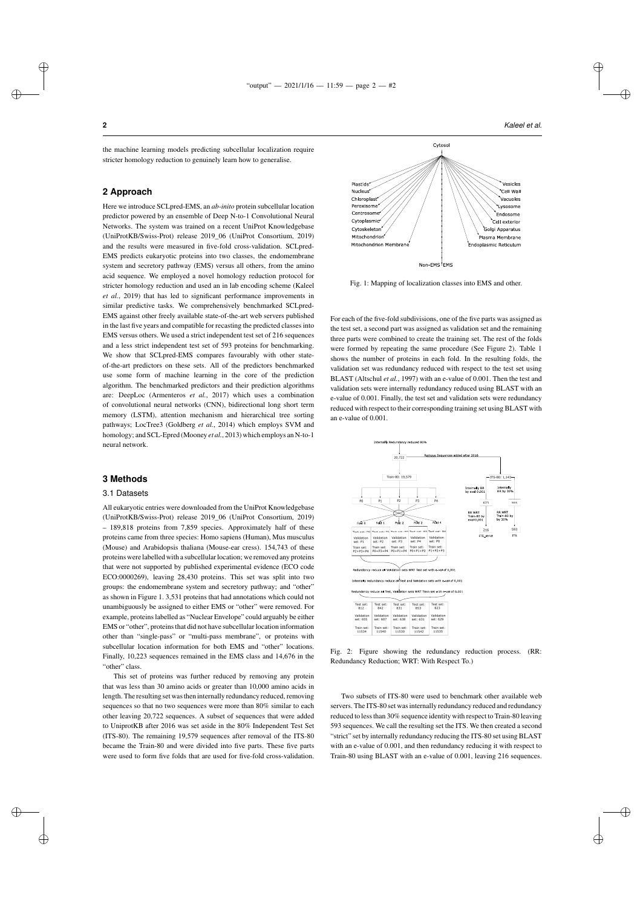✐

✐

✐

✐

#### "output" —  $2021/1/16 - 11:59$  — page  $2 - 42$

Plastid

Nucleus<sup>4</sup>

✐

✐

✐

✐

the machine learning models predicting subcellular localization require stricter homology reduction to genuinely learn how to generalise.

#### **2 Approach**

Here we introduce SCLpred-EMS, an *ab-inito* protein subcellular location predictor powered by an ensemble of Deep N-to-1 Convolutional Neural Networks. The system was trained on a recent UniProt Knowledgebase (UniProtKB/Swiss-Prot) release 2019\_06 (UniProt Consortium, 2019) and the results were measured in five-fold cross-validation. SCLpred-EMS predicts eukaryotic proteins into two classes, the endomembrane system and secretory pathway (EMS) versus all others, from the amino acid sequence. We employed a novel homology reduction protocol for stricter homology reduction and used an in lab encoding scheme (Kaleel *et al.*, 2019) that has led to significant performance improvements in similar predictive tasks. We comprehensively benchmarked SCLpred-EMS against other freely available state-of-the-art web servers published in the last five years and compatible for recasting the predicted classes into EMS versus others. We used a strict independent test set of 216 sequences and a less strict independent test set of 593 proteins for benchmarking. We show that SCLpred-EMS compares favourably with other stateof-the-art predictors on these sets. All of the predictors benchmarked use some form of machine learning in the core of the prediction algorithm. The benchmarked predictors and their prediction algorithms are: DeepLoc (Armenteros *et al.*, 2017) which uses a combination of convolutional neural networks (CNN), bidirectional long short term memory (LSTM), attention mechanism and hierarchical tree sorting pathways; LocTree3 (Goldberg *et al.*, 2014) which employs SVM and homology; and SCL-Epred (Mooney *et al.*, 2013) which employs an N-to-1 neural network.

# **3 Methods**

# 3.1 Datasets

All eukaryotic entries were downloaded from the UniProt Knowledgebase (UniProtKB/Swiss-Prot) release 2019\_06 (UniProt Consortium, 2019) – 189,818 proteins from 7,859 species. Approximately half of these proteins came from three species: Homo sapiens (Human), Mus musculus (Mouse) and Arabidopsis thaliana (Mouse-ear cress). 154,743 of these proteins were labelled with a subcellular location; we removed any proteins that were not supported by published experimental evidence (ECO code ECO:0000269), leaving 28,430 proteins. This set was split into two groups: the endomembrane system and secretory pathway; and "other" as shown in Figure 1. 3,531 proteins that had annotations which could not unambiguously be assigned to either EMS or "other" were removed. For example, proteins labelled as "Nuclear Envelope" could arguably be either EMS or "other", proteins that did not have subcellular location information other than "single-pass" or "multi-pass membrane", or proteins with subcellular location information for both EMS and "other" locations. Finally, 10,223 sequences remained in the EMS class and 14,676 in the "other" class.

This set of proteins was further reduced by removing any protein that was less than 30 amino acids or greater than 10,000 amino acids in length. The resulting set was then internally redundancy reduced, removing sequences so that no two sequences were more than 80% similar to each other leaving 20,722 sequences. A subset of sequences that were added to UniprotKB after 2016 was set aside in the 80% Independent Test Set (ITS-80). The remaining 19,579 sequences after removal of the ITS-80 became the Train-80 and were divided into five parts. These five parts were used to form five folds that are used for five-fold cross-validation.



Fig. 1: Mapping of localization classes into EMS and other.

Non-FMS FMS

For each of the five-fold subdivisions, one of the five parts was assigned as the test set, a second part was assigned as validation set and the remaining three parts were combined to create the training set. The rest of the folds were formed by repeating the same procedure (See Figure 2). Table 1 shows the number of proteins in each fold. In the resulting folds, the validation set was redundancy reduced with respect to the test set using BLAST (Altschul *et al.*, 1997) with an e-value of 0.001. Then the test and validation sets were internally redundancy reduced using BLAST with an e-value of 0.001. Finally, the test set and validation sets were redundancy reduced with respect to their corresponding training set using BLAST with an e-value of 0.001.



Fig. 2: Figure showing the redundancy reduction process. (RR: Redundancy Reduction; WRT: With Respect To.)

Two subsets of ITS-80 were used to benchmark other available web servers. The ITS-80 set was internally redundancy reduced and redundancy reduced to less than 30% sequence identity with respect to Train-80 leaving 593 sequences. We call the resulting set the ITS. We then created a second "strict" set by internally redundancy reducing the ITS-80 set using BLAST with an e-value of 0.001, and then redundancy reducing it with respect to Train-80 using BLAST with an e-value of 0.001, leaving 216 sequences.

**2** *Kaleel et al.*

plasmic Reticulun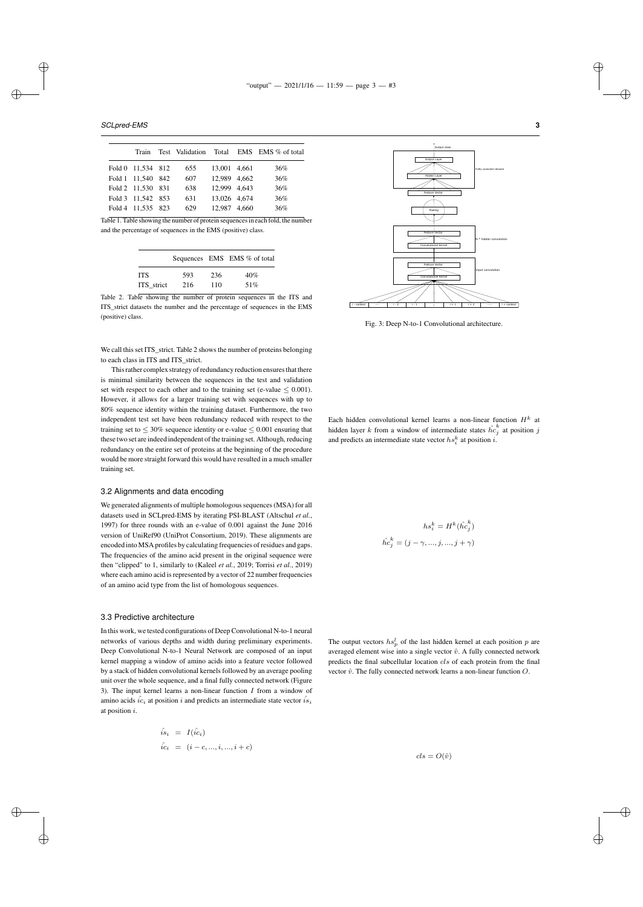*SCLpred-EMS* **3**

✐

✐

✐

✐

| Train             |     |              | Test Validation Total EMS EMS % of total |
|-------------------|-----|--------------|------------------------------------------|
| Fold 0 11,534 812 | 655 | 13.001 4.661 | 36%                                      |
| Fold 1 11.540 842 | 607 | 12.989 4.662 | 36%                                      |
| Fold 2 11.530 831 | 638 | 12.999 4.643 | 36%                                      |
| Fold 3 11.542 853 | 631 | 13.026 4.674 | 36%                                      |
| Fold 4 11,535 823 | 629 | 12.987 4.660 | 36%                                      |
|                   |     |              |                                          |

Table 1. Table showing the number of protein sequences in each fold, the number and the percentage of sequences in the EMS (positive) class.

|            |     |     | Sequences EMS EMS % of total |
|------------|-----|-----|------------------------------|
| ITS        | 593 | 236 | 40%                          |
| ITS strict | 216 | 110 | 51%                          |

Table 2. Table showing the number of protein sequences in the ITS and ITS\_strict datasets the number and the percentage of sequences in the EMS (positive) class.

We call this set ITS\_strict. Table 2 shows the number of proteins belonging to each class in ITS and ITS\_strict.

This rather complex strategy of redundancy reduction ensures that there is minimal similarity between the sequences in the test and validation set with respect to each other and to the training set (e-value  $\leq 0.001$ ). However, it allows for a larger training set with sequences with up to 80% sequence identity within the training dataset. Furthermore, the two independent test set have been redundancy reduced with respect to the training set to  $\leq 30\%$  sequence identity or e-value  $\leq 0.001$  ensuring that these two set are indeed independent of the training set. Although, reducing redundancy on the entire set of proteins at the beginning of the procedure would be more straight forward this would have resulted in a much smaller training set.

#### 3.2 Alignments and data encoding

We generated alignments of multiple homologous sequences (MSA) for all datasets used in SCLpred-EMS by iterating PSI-BLAST (Altschul *et al.*, 1997) for three rounds with an e-value of 0.001 against the June 2016 version of UniRef90 (UniProt Consortium, 2019). These alignments are encoded into MSA profiles by calculating frequencies of residues and gaps. The frequencies of the amino acid present in the original sequence were then "clipped" to 1, similarly to (Kaleel *et al.*, 2019; Torrisi *et al.*, 2019) where each amino acid is represented by a vector of 22 number frequencies of an amino acid type from the list of homologous sequences.

### 3.3 Predictive architecture

In this work, we tested configurations of Deep Convolutional N-to-1 neural networks of various depths and width during preliminary experiments. Deep Convolutional N-to-1 Neural Network are composed of an input kernel mapping a window of amino acids into a feature vector followed by a stack of hidden convolutional kernels followed by an average pooling unit over the whole sequence, and a final fully connected network (Figure 3). The input kernel learns a non-linear function  $I$  from a window of amino acids  $\hat{i}c_i$  at position  $i$  and predicts an intermediate state vector  $\hat{i}s_i$ at position i.

$$
\hat{i}s_i = I(\hat{ic}_i) \n\hat{ic}_i = (i - c, ..., i, ..., i + c)
$$



Fig. 3: Deep N-to-1 Convolutional architecture.

Each hidden convolutional kernel learns a non-linear function  $H^k$  at hidden layer k from a window of intermediate states  $\hat{hc}_j^k$  at position j and predicts an intermediate state vector  $hs_i^k$  at position *i*.

$$
hs_i^k = H^k(\hat{hc}_j^k)
$$
  

$$
\hat{hc}_j^k = (j - \gamma, ..., j, ..., j + \gamma)
$$

The output vectors  $hs_p^l$  of the last hidden kernel at each position p are averaged element wise into a single vector  $\hat{v}$ . A fully connected network predicts the final subcellular location cls of each protein from the final vector  $\hat{v}$ . The fully connected network learns a non-linear function  $O$ .

 $cls = O(\hat{v})$ 

✐

✐

✐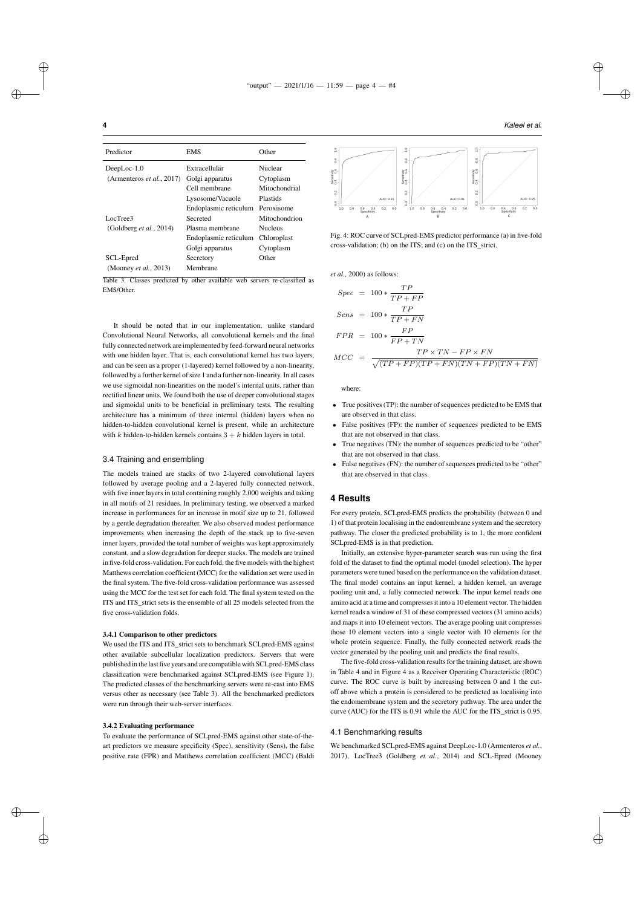| Predictor                         | EMS                   | Other           |
|-----------------------------------|-----------------------|-----------------|
| $DeepLoc-1.0$                     | Extracellular         | Nuclear         |
| (Armenteros <i>et al.</i> , 2017) | Golgi apparatus       | Cytoplasm       |
|                                   | Cell membrane         | Mitochondrial   |
|                                   | Lysosome/Vacuole      | <b>Plastids</b> |
|                                   | Endoplasmic reticulum | Peroxisome      |
| LocTree3                          | Secreted              | Mitochondrion   |
| (Goldberg et al., 2014)           | Plasma membrane       | <b>Nucleus</b>  |
|                                   | Endoplasmic reticulum | Chloroplast     |
|                                   | Golgi apparatus       | Cytoplasm       |
| SCL-Epred                         | Secretory             | Other           |
| (Mooney et al., 2013)             | Membrane              |                 |

Table 3. Classes predicted by other available web servers re-classified as EMS/Other.

It should be noted that in our implementation, unlike standard Convolutional Neural Networks, all convolutional kernels and the final fully connected network are implemented by feed-forward neural networks with one hidden layer. That is, each convolutional kernel has two layers, and can be seen as a proper (1-layered) kernel followed by a non-linearity, followed by a further kernel of size 1 and a further non-linearity. In all cases we use sigmoidal non-linearities on the model's internal units, rather than rectified linear units. We found both the use of deeper convolutional stages and sigmoidal units to be beneficial in preliminary tests. The resulting architecture has a minimum of three internal (hidden) layers when no hidden-to-hidden convolutional kernel is present, while an architecture with k hidden-to-hidden kernels contains  $3 + k$  hidden layers in total.

# 3.4 Training and ensembling

The models trained are stacks of two 2-layered convolutional layers followed by average pooling and a 2-layered fully connected network, with five inner layers in total containing roughly 2,000 weights and taking in all motifs of 21 residues. In preliminary testing, we observed a marked increase in performances for an increase in motif size up to 21, followed by a gentle degradation thereafter. We also observed modest performance improvements when increasing the depth of the stack up to five-seven inner layers, provided the total number of weights was kept approximately constant, and a slow degradation for deeper stacks. The models are trained in five-fold cross-validation. For each fold, the five models with the highest Matthews correlation coefficient (MCC) for the validation set were used in the final system. The five-fold cross-validation performance was assessed using the MCC for the test set for each fold. The final system tested on the ITS and ITS strict sets is the ensemble of all 25 models selected from the five cross-validation folds.

# 3.4.1 Comparison to other predictors

We used the ITS and ITS\_strict sets to benchmark SCLpred-EMS against other available subcellular localization predictors. Servers that were published in the last five years and are compatible with SCLpred-EMS class classification were benchmarked against SCLpred-EMS (see Figure 1). The predicted classes of the benchmarking servers were re-cast into EMS versus other as necessary (see Table 3). All the benchmarked predictors were run through their web-server interfaces.

#### 3.4.2 Evaluating performance

To evaluate the performance of SCLpred-EMS against other state-of-theart predictors we measure specificity (Spec), sensitivity (Sens), the false positive rate (FPR) and Matthews correlation coefficient (MCC) (Baldi





Fig. 4: ROC curve of SCLpred-EMS predictor performance (a) in five-fold cross-validation; (b) on the ITS; and (c) on the ITS\_strict.

*et al.*, 2000) as follows:

$$
Spec = 100 * \frac{TP}{TP + FP}
$$
  
\n
$$
Sens = 100 * \frac{TP}{TP + FN}
$$
  
\n
$$
FPR = 100 * \frac{FP}{FP + TN}
$$
  
\n
$$
MCC = \frac{TP \times TN - FP \times FN}{\sqrt{(TP + FP)(TP + FN)(TN + FP)(TN + FN)}}
$$

where:

- True positives (TP): the number of sequences predicted to be EMS that are observed in that class.
- False positives (FP): the number of sequences predicted to be EMS that are not observed in that class
- True negatives (TN): the number of sequences predicted to be "other" that are not observed in that class.
- False negatives (FN): the number of sequences predicted to be "other" that are observed in that class.

#### **4 Results**

For every protein, SCLpred-EMS predicts the probability (between 0 and 1) of that protein localising in the endomembrane system and the secretory pathway. The closer the predicted probability is to 1, the more confident SCLpred-EMS is in that prediction.

Initially, an extensive hyper-parameter search was run using the first fold of the dataset to find the optimal model (model selection). The hyper parameters were tuned based on the performance on the validation dataset. The final model contains an input kernel, a hidden kernel, an average pooling unit and, a fully connected network. The input kernel reads one amino acid at a time and compresses it into a 10 element vector. The hidden kernel reads a window of 31 of these compressed vectors (31 amino acids) and maps it into 10 element vectors. The average pooling unit compresses those 10 element vectors into a single vector with 10 elements for the whole protein sequence. Finally, the fully connected network reads the vector generated by the pooling unit and predicts the final results.

The five-fold cross-validation results for the training dataset, are shown in Table 4 and in Figure 4 as a Receiver Operating Characteristic (ROC) curve. The ROC curve is built by increasing between 0 and 1 the cutoff above which a protein is considered to be predicted as localising into the endomembrane system and the secretory pathway. The area under the curve (AUC) for the ITS is 0.91 while the AUC for the ITS\_strict is 0.95.

### 4.1 Benchmarking results

We benchmarked SCLpred-EMS against DeepLoc-1.0 (Armenteros *et al.*, 2017), LocTree3 (Goldberg *et al.*, 2014) and SCL-Epred (Mooney

✐

✐

✐

✐

✐

✐

✐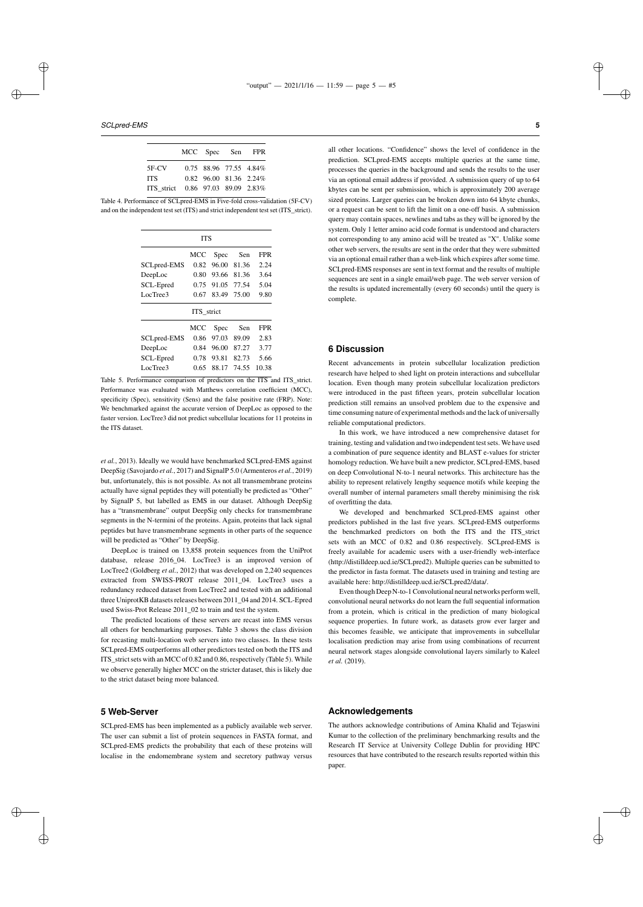*SCLpred-EMS* **5**

✐

✐

|                                   |  | MCC Spec Sen FPR       |
|-----------------------------------|--|------------------------|
| $5F-CV$                           |  | 0.75 88.96 77.55 4.84% |
| <b>TTS</b>                        |  | 0.82 96.00 81.36 2.24% |
| ITS strict 0.86 97.03 89.09 2.83% |  |                        |

Table 4. Performance of SCLpred-EMS in Five-fold cross-validation (5F-CV) and on the independent test set (ITS) and strict independent test set (ITS\_strict).

| <b>TTS</b>  |      |       |             |            |  |  |
|-------------|------|-------|-------------|------------|--|--|
|             | MCC  | Spec  | Sen         | <b>FPR</b> |  |  |
| SCLpred-EMS | 0.82 | 96.00 | 81.36       | 2.24       |  |  |
| DeepLoc     | 0.80 | 93.66 | 81.36       | 3.64       |  |  |
| SCL-Epred   | 0.75 | 91.05 | - 77.54     | 5.04       |  |  |
| LocTree3    | 0.67 |       | 83.49 75.00 | 9.80       |  |  |
| ITS strict  |      |       |             |            |  |  |
|             | MCC  | Spec  | Sen         | <b>FPR</b> |  |  |
| SCLpred-EMS | 0.86 | 97.03 | 89.09       | 2.83       |  |  |
| DeepLoc     | 0.84 | 96.00 | 87.27       | 3.77       |  |  |
| SCL-Epred   | 0.78 | 93.81 | 82.73       | 5.66       |  |  |
| LocTree3    | 0.65 | 88.17 | 74.55       | 10.38      |  |  |

Table 5. Performance comparison of predictors on the ITS and ITS\_strict. Performance was evaluated with Matthews correlation coefficient (MCC), specificity (Spec), sensitivity (Sens) and the false positive rate (FRP). Note: We benchmarked against the accurate version of DeepLoc as opposed to the faster version. LocTree3 did not predict subcellular locations for 11 proteins in the ITS dataset.

*et al.*, 2013). Ideally we would have benchmarked SCLpred-EMS against DeepSig (Savojardo *et al.*, 2017) and SignalP 5.0 (Armenteros *et al.*, 2019) but, unfortunately, this is not possible. As not all transmembrane proteins actually have signal peptides they will potentially be predicted as "Other" by SignalP 5, but labelled as EMS in our dataset. Although DeepSig has a "transmembrane" output DeepSig only checks for transmembrane segments in the N-termini of the proteins. Again, proteins that lack signal peptides but have transmembrane segments in other parts of the sequence will be predicted as "Other" by DeepSig.

DeepLoc is trained on 13,858 protein sequences from the UniProt database, release 2016 04. LocTree3 is an improved version of LocTree2 (Goldberg *et al.*, 2012) that was developed on 2,240 sequences extracted from SWISS-PROT release 2011\_04. LocTree3 uses a redundancy reduced dataset from LocTree2 and tested with an additional three UniprotKB datasets releases between 2011\_04 and 2014. SCL-Epred used Swiss-Prot Release 2011\_02 to train and test the system.

The predicted locations of these servers are recast into EMS versus all others for benchmarking purposes. Table 3 shows the class division for recasting multi-location web servers into two classes. In these tests SCLpred-EMS outperforms all other predictors tested on both the ITS and ITS strict sets with an MCC of 0.82 and 0.86, respectively (Table 5). While we observe generally higher MCC on the stricter dataset, this is likely due to the strict dataset being more balanced.

#### **5 Web-Server**

✐

✐

SCLpred-EMS has been implemented as a publicly available web server. The user can submit a list of protein sequences in FASTA format, and SCLpred-EMS predicts the probability that each of these proteins will localise in the endomembrane system and secretory pathway versus all other locations. "Confidence" shows the level of confidence in the prediction. SCLpred-EMS accepts multiple queries at the same time, processes the queries in the background and sends the results to the user via an optional email address if provided. A submission query of up to 64 kbytes can be sent per submission, which is approximately 200 average sized proteins. Larger queries can be broken down into 64 kbyte chunks, or a request can be sent to lift the limit on a one-off basis. A submission query may contain spaces, newlines and tabs as they will be ignored by the system. Only 1 letter amino acid code format is understood and characters not corresponding to any amino acid will be treated as "X". Unlike some other web servers, the results are sent in the order that they were submitted via an optional email rather than a web-link which expires after some time. SCLpred-EMS responses are sent in text format and the results of multiple sequences are sent in a single email/web page. The web server version of the results is updated incrementally (every 60 seconds) until the query is complete.

## **6 Discussion**

Recent advancements in protein subcellular localization prediction research have helped to shed light on protein interactions and subcellular location. Even though many protein subcellular localization predictors were introduced in the past fifteen years, protein subcellular location prediction still remains an unsolved problem due to the expensive and time consuming nature of experimental methods and the lack of universally reliable computational predictors.

In this work, we have introduced a new comprehensive dataset for training, testing and validation and two independent test sets. We have used a combination of pure sequence identity and BLAST e-values for stricter homology reduction. We have built a new predictor, SCLpred-EMS, based on deep Convolutional N-to-1 neural networks. This architecture has the ability to represent relatively lengthy sequence motifs while keeping the overall number of internal parameters small thereby minimising the risk of overfitting the data.

We developed and benchmarked SCLpred-EMS against other predictors published in the last five years. SCLpred-EMS outperforms the benchmarked predictors on both the ITS and the ITS\_strict sets with an MCC of 0.82 and 0.86 respectively. SCLpred-EMS is freely available for academic users with a user-friendly web-interface (http://distilldeep.ucd.ie/SCLpred2). Multiple queries can be submitted to the predictor in fasta format. The datasets used in training and testing are available here: http://distilldeep.ucd.ie/SCLpred2/data/.

Even though Deep N-to-1 Convolutional neural networks perform well, convolutional neural networks do not learn the full sequential information from a protein, which is critical in the prediction of many biological sequence properties. In future work, as datasets grow ever larger and this becomes feasible, we anticipate that improvements in subcellular localisation prediction may arise from using combinations of recurrent neural network stages alongside convolutional layers similarly to Kaleel *et al.* (2019).

#### **Acknowledgements**

The authors acknowledge contributions of Amina Khalid and Tejaswini Kumar to the collection of the preliminary benchmarking results and the Research IT Service at University College Dublin for providing HPC resources that have contributed to the research results reported within this paper.

✐

✐

✐